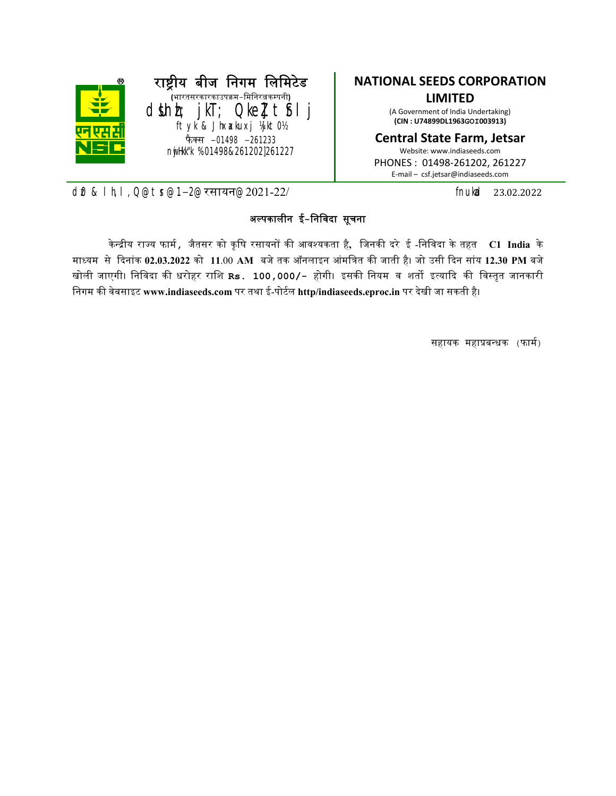

#### NATIONAL SEEDS CORPORATION LIMITED

(A Government of India Undertaking) (CIN : U74899DL1963GOI003913)

#### Central State Farm, Jetsar

Website: www.indiaseeds.com PHONES : 01498-261202, 261227 E-mail – csf.jetsar@indiaseeds.com

d0 & lh,l,Q@tr@1-2@रसायन@2021-22/ fnukad 23.02.2022

#### अपकालीन ई-िनिवदा सूचना

केन्द्रीय राज्य फार्म , जैतसर को कृषि रसायनों की आवश्यकता है, जिनकी दरे ई -निविदा के तहत  $\,$  C1 India के माध्यम से दिनांक 02.03.2022 को 11.00 AM बजे तक ऑनलाइन आंमत्रित की जाती है। जो उसी दिन सांय 12.30 PM बजे खोली जाएगी। निविदा की धरोहर राशि Rs. 100,000/- होगी। इसकी नियम व शर्तो इत्यादि की विस्तृत जानकारी निगम की वेबसाइट www.indiaseeds.com पर तथा ई-पोर्टल http/indiaseeds.eproc.in पर देखी जा सकती है।

सहायक महाबधक (फाम)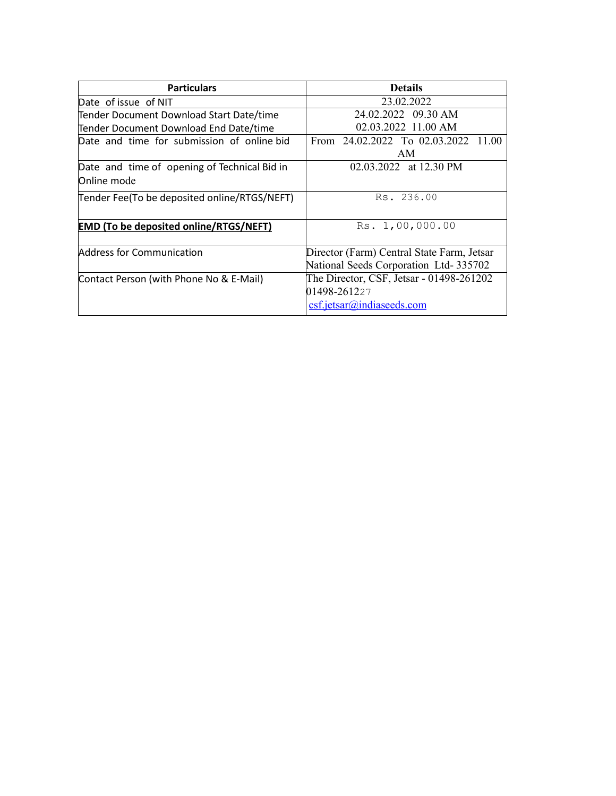| <b>Particulars</b>                            | <b>Details</b>                             |  |  |  |  |
|-----------------------------------------------|--------------------------------------------|--|--|--|--|
| Date of issue of NIT                          | 23.02.2022                                 |  |  |  |  |
| Tender Document Download Start Date/time      | 24.02.2022 09.30 AM                        |  |  |  |  |
| Tender Document Download End Date/time        | 02.03.2022 11.00 AM                        |  |  |  |  |
| Date and time for submission of online bid    | From 24.02.2022 To 02.03.2022 11.00        |  |  |  |  |
|                                               | AM                                         |  |  |  |  |
| Date and time of opening of Technical Bid in  | 02.03.2022 at 12.30 PM                     |  |  |  |  |
| Online mode                                   |                                            |  |  |  |  |
| Tender Fee(To be deposited online/RTGS/NEFT)  | Rs. 236.00                                 |  |  |  |  |
|                                               |                                            |  |  |  |  |
| <b>EMD (To be deposited online/RTGS/NEFT)</b> | Rs. 1,00,000.00                            |  |  |  |  |
|                                               |                                            |  |  |  |  |
| Address for Communication                     | Director (Farm) Central State Farm, Jetsar |  |  |  |  |
|                                               | National Seeds Corporation Ltd-335702      |  |  |  |  |
| Contact Person (with Phone No & E-Mail)       | The Director, CSF, Jetsar - 01498-261202   |  |  |  |  |
|                                               | 01498-261227                               |  |  |  |  |
|                                               | csf.jetsar@indiaseeds.com                  |  |  |  |  |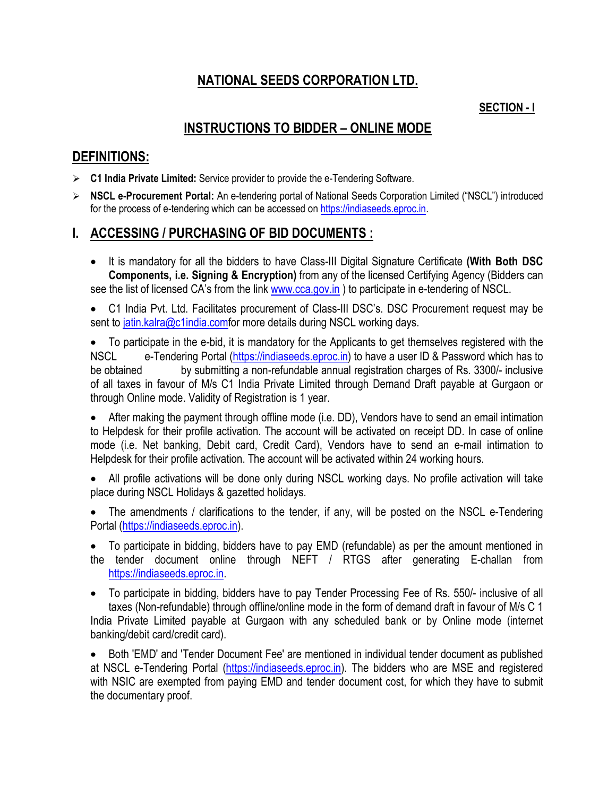# NATIONAL SEEDS CORPORATION LTD.

### SECTION - I

# INSTRUCTIONS TO BIDDER – ONLINE MODE

### DEFINITIONS:

- $\triangleright$  C1 India Private Limited: Service provider to provide the e-Tendering Software.
- ▶ NSCL e-Procurement Portal: An e-tendering portal of National Seeds Corporation Limited ("NSCL") introduced for the process of e-tendering which can be accessed on https://indiaseeds.eproc.in.

## I. ACCESSING / PURCHASING OF BID DOCUMENTS :

• It is mandatory for all the bidders to have Class-III Digital Signature Certificate (With Both DSC Components, i.e. Signing & Encryption) from any of the licensed Certifying Agency (Bidders can see the list of licensed CA's from the link www.cca.gov.in ) to participate in e-tendering of NSCL.

• C1 India Pvt. Ltd. Facilitates procurement of Class-III DSC's. DSC Procurement request may be sent to jatin.kalra@c1india.comfor more details during NSCL working days.

 To participate in the e-bid, it is mandatory for the Applicants to get themselves registered with the NSCL e-Tendering Portal (https://indiaseeds.eproc.in) to have a user ID & Password which has to be obtained by submitting a non-refundable annual registration charges of Rs. 3300/- inclusive of all taxes in favour of M/s C1 India Private Limited through Demand Draft payable at Gurgaon or through Online mode. Validity of Registration is 1 year.

 After making the payment through offline mode (i.e. DD), Vendors have to send an email intimation to Helpdesk for their profile activation. The account will be activated on receipt DD. In case of online mode (i.e. Net banking, Debit card, Credit Card), Vendors have to send an e-mail intimation to Helpdesk for their profile activation. The account will be activated within 24 working hours.

• All profile activations will be done only during NSCL working days. No profile activation will take place during NSCL Holidays & gazetted holidays.

• The amendments / clarifications to the tender, if any, will be posted on the NSCL e-Tendering Portal (https://indiaseeds.eproc.in).

 To participate in bidding, bidders have to pay EMD (refundable) as per the amount mentioned in the tender document online through NEFT / RTGS after generating E-challan from https://indiaseeds.eproc.in.

 To participate in bidding, bidders have to pay Tender Processing Fee of Rs. 550/- inclusive of all taxes (Non-refundable) through offline/online mode in the form of demand draft in favour of M/s C 1 India Private Limited payable at Gurgaon with any scheduled bank or by Online mode (internet banking/debit card/credit card).

 Both 'EMD' and 'Tender Document Fee' are mentioned in individual tender document as published at NSCL e-Tendering Portal (https://indiaseeds.eproc.in). The bidders who are MSE and registered with NSIC are exempted from paying EMD and tender document cost, for which they have to submit the documentary proof.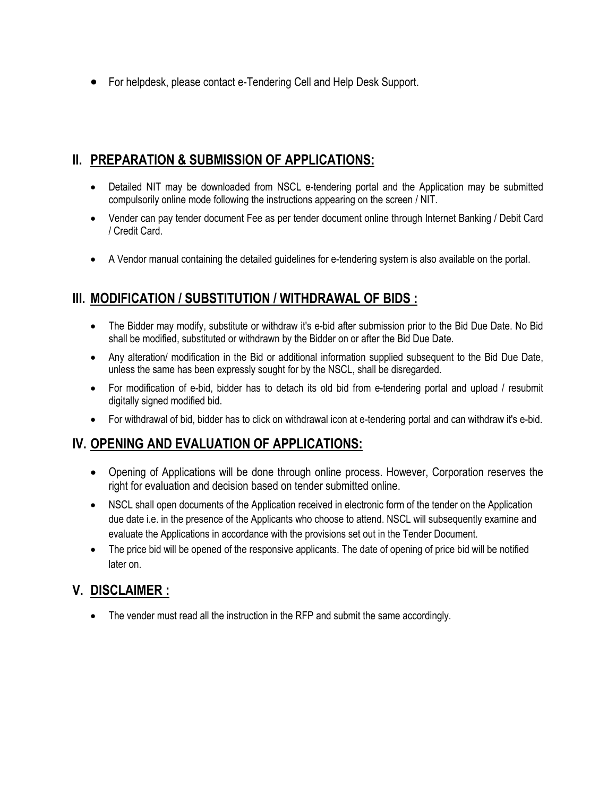For helpdesk, please contact e-Tendering Cell and Help Desk Support.

# II. PREPARATION & SUBMISSION OF APPLICATIONS:

- Detailed NIT may be downloaded from NSCL e-tendering portal and the Application may be submitted compulsorily online mode following the instructions appearing on the screen / NIT.
- Vender can pay tender document Fee as per tender document online through Internet Banking / Debit Card / Credit Card.
- A Vendor manual containing the detailed guidelines for e-tendering system is also available on the portal.

# III. MODIFICATION / SUBSTITUTION / WITHDRAWAL OF BIDS :

- The Bidder may modify, substitute or withdraw it's e-bid after submission prior to the Bid Due Date. No Bid shall be modified, substituted or withdrawn by the Bidder on or after the Bid Due Date.
- Any alteration/ modification in the Bid or additional information supplied subsequent to the Bid Due Date, unless the same has been expressly sought for by the NSCL, shall be disregarded.
- For modification of e-bid, bidder has to detach its old bid from e-tendering portal and upload / resubmit digitally signed modified bid.
- For withdrawal of bid, bidder has to click on withdrawal icon at e-tendering portal and can withdraw it's e-bid.

## IV. OPENING AND EVALUATION OF APPLICATIONS:

- Opening of Applications will be done through online process. However, Corporation reserves the right for evaluation and decision based on tender submitted online.
- NSCL shall open documents of the Application received in electronic form of the tender on the Application due date i.e. in the presence of the Applicants who choose to attend. NSCL will subsequently examine and evaluate the Applications in accordance with the provisions set out in the Tender Document.
- The price bid will be opened of the responsive applicants. The date of opening of price bid will be notified later on.

## V. DISCLAIMER :

• The vender must read all the instruction in the RFP and submit the same accordingly.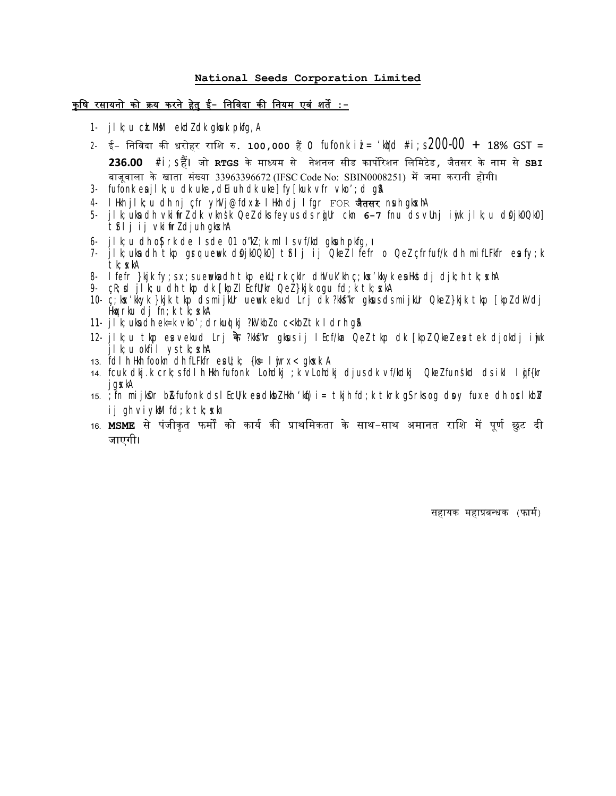#### National Seeds Corporation Limited

#### <u>कृषि रसायनो को क्रय करने हेतु ई- निविदा की नियम एवं शर्ते :-</u>

- 1- jlk; u ck.MM ekdl dk gkuk pkfg, A
- 2- ई- निविदा की धरोहर राशि रु. 100,000 हैं **0 fufonk i***i***= 'kird #i**;**s 200-00 +** 18% GST =  $236.00$   $\#$ i;ऽ हैं। जो  $_{\rm RTGS}$  के माध्यम से नेशनल सीड कार्पोरेशन लिमिटेड, जैतसर के नाम से  $_{\rm SBL}$ बाजूवाला के खाता संख्या 33963396672 (IFSC Code No: SBIN0008251) में जमा करानी होगी।
- 3- fufonk esilk;u dk uke, dEiuh dk uke] fy[kuk vfr vko'; d q\$
- 4- lHkh jlk;u dh nj çfr yhVj@fdxzk- lHkh dj lfgr FOR जैतसर nsuh gksxhA
- 5- jlk; ukna dh vkinirzīdk vknsk Qez dks feyus ds rojur ckn 6-7 fnu ds vunj i ojk jlk;u ds0jk0Qk0] t<sup>\$</sup>ij ij vkitrZ djuh gkskhA
- 6- jlk;u dh o $S$ |rk de ls de 01 o"kZ;k mlls vf/kd gkuh pkfg,
- 7- jlk;uka dh tkp grq uewuk diojk0Qk0] tiflj ij QkeZ lfefr o QeZ çfrfuf/k dh mifLFkfr ea fy;k tk; xkA
- 8- lfefr }kjk fy;s x;s uewuka dh tkp ekU;rk çkIr dhVuk'kh ç;kx'kkyk ea Hkstdj djk;h tk;sxhA
- 9- cR;sd jlk;u dh tkp dk [kpZ lEcfU/kr QeZ }kjk ogu fd;k tk;sxkA
- 10- ç;ksx'kkyk }kjk tk¡p ds mijkUr uewuk ekud Lrj dk ?kksf"kr gksus ds mijkUr QkeZ }kjk tk¡p [kpZ dkVdj Hko $x$ rku dj fn; k t $k$ ; skA
- 11- jik;uka dh ek=k vko'; drkud kj ?kVkbZ o c<kbZ tk I drh g\$A
- 12- jlk;u tkp esa vekud Lrj के ?kksf"kr gksus ij lEcf/kar Qez tkp dk [kpz Qkez esa tek djokdj iwjk  $i$ lk; u okf $i$ l ys tk; skhA
- 13.  $\overline{f}$ dlh Hkh fookn dh fLFkfr esul; k; {k= lwjrx< gksxk A
- 14- fcuk dkj.k crk;s fdlh Hkh fufonk Lohdkj ;k vLohdkj djus dk vf/kdkj QkeZ funs'kd ds ikl lqjf{kr jgsxkA
- 15.  $\overline{f}$  fn mijkDr b $\overline{B}$ fufonk ds I EcU/k eadkb $\overline{L}$  Hkh 'kqf)i= tkjh fd;k tkrk gS rks og dovy fuxe dh oslkb $\overline{L}$ ij gh viykM fd;k tk; skl
- 16. **MSME** से पंजीकृत फर्मों को कार्य की प्राथमिकता के साथ–साथ अमानत राशि में पूर्ण छुट दी जाएगी।

सहायक महाबधक (फाम)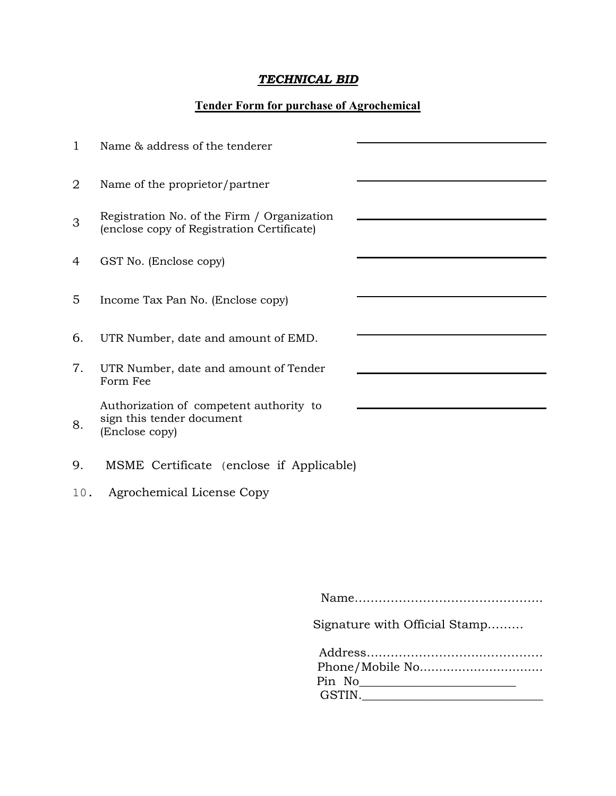# *TECHNICAL BID*

#### Tender Form for purchase of Agrochemical

| $\mathbf{1}$ | Name & address of the tenderer                                                            |  |
|--------------|-------------------------------------------------------------------------------------------|--|
| 2            | Name of the proprietor/partner                                                            |  |
| 3            | Registration No. of the Firm / Organization<br>(enclose copy of Registration Certificate) |  |
| 4            | GST No. (Enclose copy)                                                                    |  |
| 5            | Income Tax Pan No. (Enclose copy)                                                         |  |
| 6.           | UTR Number, date and amount of EMD.                                                       |  |
| 7.           | UTR Number, date and amount of Tender<br>Form Fee                                         |  |
| 8.           | Authorization of competent authority to<br>sign this tender document<br>(Enclose copy)    |  |
| 9.           | MSME Certificate (enclose if Applicable)                                                  |  |
| 10.          | Agrochemical License Copy                                                                 |  |
|              |                                                                                           |  |
|              |                                                                                           |  |
|              | $N \sim \sim$                                                                             |  |

Name………………………………………..

Signature with Official Stamp………

| Pin No |
|--------|
| GSTIN. |